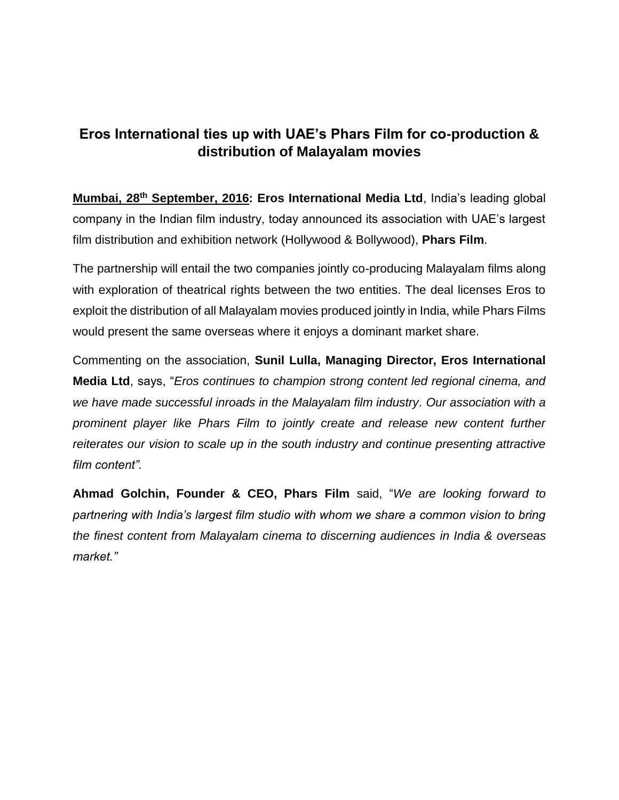## **Eros International ties up with UAE's Phars Film for co-production & distribution of Malayalam movies**

**Mumbai, 28th September, 2016: Eros International Media Ltd**, India's leading global company in the Indian film industry, today announced its association with UAE's largest film distribution and exhibition network (Hollywood & Bollywood), **Phars Film**.

The partnership will entail the two companies jointly co-producing Malayalam films along with exploration of theatrical rights between the two entities. The deal licenses Eros to exploit the distribution of all Malayalam movies produced jointly in India, while Phars Films would present the same overseas where it enjoys a dominant market share.

Commenting on the association, **Sunil Lulla, Managing Director, Eros International Media Ltd**, says, "*Eros continues to champion strong content led regional cinema, and we have made successful inroads in the Malayalam film industry. Our association with a prominent player like Phars Film to jointly create and release new content further reiterates our vision to scale up in the south industry and continue presenting attractive film content".*

**Ahmad Golchin, Founder & CEO, Phars Film** said, "*We are looking forward to partnering with India's largest film studio with whom we share a common vision to bring the finest content from Malayalam cinema to discerning audiences in India & overseas market."*